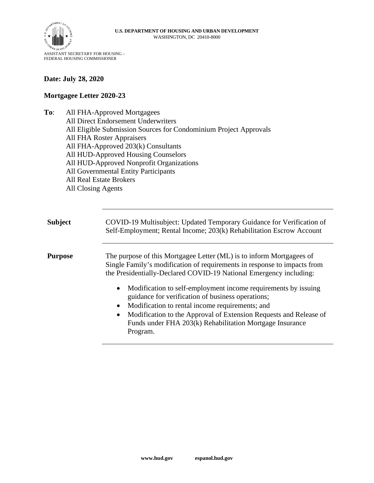

## **Date: July 28, 2020**

## **Mortgagee Letter 2020-23**

- **To**: All FHA-Approved Mortgagees
	- All Direct Endorsement Underwriters
	- All Eligible Submission Sources for Condominium Project Approvals
	- All FHA Roster Appraisers
	- All FHA-Approved 203(k) Consultants
	- All HUD-Approved Housing Counselors
	- All HUD-Approved Nonprofit Organizations
	- All Governmental Entity Participants
	- All Real Estate Brokers
	- All Closing Agents

**Subject** COVID-19 Multisubject: Updated Temporary Guidance for Verification of Self-Employment; Rental Income; 203(k) Rehabilitation Escrow Account

**Purpose** The purpose of this Mortgagee Letter (ML) is to inform Mortgagees of Single Family's modification of requirements in response to impacts from the Presidentially-Declared COVID-19 National Emergency including:

- Modification to self-employment income requirements by issuing guidance for verification of business operations;
- Modification to rental income requirements; and
- Modification to the Approval of Extension Requests and Release of Funds under FHA 203(k) Rehabilitation Mortgage Insurance Program.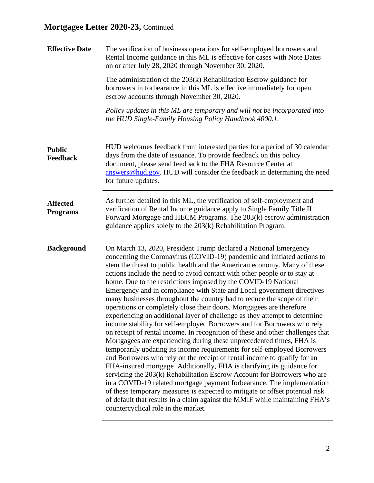| <b>Effective Date</b>              | The verification of business operations for self-employed borrowers and<br>Rental Income guidance in this ML is effective for cases with Note Dates<br>on or after July 28, 2020 through November 30, 2020.                                                                                                                                                                                                                                                                                                                                                                                                                                                                                                                                                                                                                                                                                                                                                                                                                                                                                                                                                                                                                                                                                                                                                                                                                                                                                                         |  |  |  |  |  |  |  |
|------------------------------------|---------------------------------------------------------------------------------------------------------------------------------------------------------------------------------------------------------------------------------------------------------------------------------------------------------------------------------------------------------------------------------------------------------------------------------------------------------------------------------------------------------------------------------------------------------------------------------------------------------------------------------------------------------------------------------------------------------------------------------------------------------------------------------------------------------------------------------------------------------------------------------------------------------------------------------------------------------------------------------------------------------------------------------------------------------------------------------------------------------------------------------------------------------------------------------------------------------------------------------------------------------------------------------------------------------------------------------------------------------------------------------------------------------------------------------------------------------------------------------------------------------------------|--|--|--|--|--|--|--|
|                                    | The administration of the $203(k)$ Rehabilitation Escrow guidance for<br>borrowers in forbearance in this ML is effective immediately for open<br>escrow accounts through November 30, 2020.                                                                                                                                                                                                                                                                                                                                                                                                                                                                                                                                                                                                                                                                                                                                                                                                                                                                                                                                                                                                                                                                                                                                                                                                                                                                                                                        |  |  |  |  |  |  |  |
|                                    | Policy updates in this ML are temporary and will not be incorporated into<br>the HUD Single-Family Housing Policy Handbook 4000.1.                                                                                                                                                                                                                                                                                                                                                                                                                                                                                                                                                                                                                                                                                                                                                                                                                                                                                                                                                                                                                                                                                                                                                                                                                                                                                                                                                                                  |  |  |  |  |  |  |  |
| <b>Public</b><br><b>Feedback</b>   | HUD welcomes feedback from interested parties for a period of 30 calendar<br>days from the date of issuance. To provide feedback on this policy<br>document, please send feedback to the FHA Resource Center at<br>answers@hud.gov. HUD will consider the feedback in determining the need<br>for future updates.                                                                                                                                                                                                                                                                                                                                                                                                                                                                                                                                                                                                                                                                                                                                                                                                                                                                                                                                                                                                                                                                                                                                                                                                   |  |  |  |  |  |  |  |
| <b>Affected</b><br><b>Programs</b> | As further detailed in this ML, the verification of self-employment and<br>verification of Rental Income guidance apply to Single Family Title II<br>Forward Mortgage and HECM Programs. The 203(k) escrow administration<br>guidance applies solely to the 203(k) Rehabilitation Program.                                                                                                                                                                                                                                                                                                                                                                                                                                                                                                                                                                                                                                                                                                                                                                                                                                                                                                                                                                                                                                                                                                                                                                                                                          |  |  |  |  |  |  |  |
| <b>Background</b>                  | On March 13, 2020, President Trump declared a National Emergency<br>concerning the Coronavirus (COVID-19) pandemic and initiated actions to<br>stem the threat to public health and the American economy. Many of these<br>actions include the need to avoid contact with other people or to stay at<br>home. Due to the restrictions imposed by the COVID-19 National<br>Emergency and in compliance with State and Local government directives<br>many businesses throughout the country had to reduce the scope of their<br>operations or completely close their doors. Mortgagees are therefore<br>experiencing an additional layer of challenge as they attempt to determine<br>income stability for self-employed Borrowers and for Borrowers who rely<br>on receipt of rental income. In recognition of these and other challenges that<br>Mortgagees are experiencing during these unprecedented times, FHA is<br>temporarily updating its income requirements for self-employed Borrowers<br>and Borrowers who rely on the receipt of rental income to qualify for an<br>FHA-insured mortgage Additionally, FHA is clarifying its guidance for<br>servicing the 203(k) Rehabilitation Escrow Account for Borrowers who are<br>in a COVID-19 related mortgage payment forbearance. The implementation<br>of these temporary measures is expected to mitigate or offset potential risk<br>of default that results in a claim against the MMIF while maintaining FHA's<br>countercyclical role in the market. |  |  |  |  |  |  |  |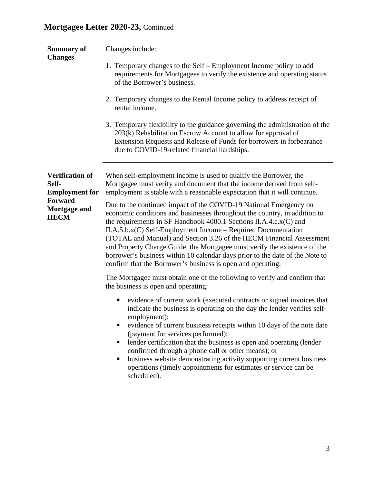| <b>Summary of</b><br><b>Changes</b>                                                                | Changes include:                                                                                                                                                                                                                                                                                                                                                                                                                                                                                                                                                                           |  |  |  |  |  |
|----------------------------------------------------------------------------------------------------|--------------------------------------------------------------------------------------------------------------------------------------------------------------------------------------------------------------------------------------------------------------------------------------------------------------------------------------------------------------------------------------------------------------------------------------------------------------------------------------------------------------------------------------------------------------------------------------------|--|--|--|--|--|
|                                                                                                    | 1. Temporary changes to the Self – Employment Income policy to add<br>requirements for Mortgagees to verify the existence and operating status<br>of the Borrower's business.                                                                                                                                                                                                                                                                                                                                                                                                              |  |  |  |  |  |
|                                                                                                    | 2. Temporary changes to the Rental Income policy to address receipt of<br>rental income.                                                                                                                                                                                                                                                                                                                                                                                                                                                                                                   |  |  |  |  |  |
|                                                                                                    | 3. Temporary flexibility to the guidance governing the administration of the<br>203(k) Rehabilitation Escrow Account to allow for approval of<br>Extension Requests and Release of Funds for borrowers in forbearance<br>due to COVID-19-related financial hardships.                                                                                                                                                                                                                                                                                                                      |  |  |  |  |  |
| <b>Verification of</b><br>Self-<br><b>Employment</b> for<br>Forward<br>Mortgage and<br><b>HECM</b> | When self-employment income is used to qualify the Borrower, the<br>Mortgagee must verify and document that the income derived from self-<br>employment is stable with a reasonable expectation that it will continue.                                                                                                                                                                                                                                                                                                                                                                     |  |  |  |  |  |
|                                                                                                    | Due to the continued impact of the COVID-19 National Emergency on<br>economic conditions and businesses throughout the country, in addition to<br>the requirements in SF Handbook 4000.1 Sections II.A.4.c.x(C) and<br>$II.A.5.b.x(C)$ Self-Employment Income – Required Documentation<br>(TOTAL and Manual) and Section 3.26 of the HECM Financial Assessment<br>and Property Charge Guide, the Mortgagee must verify the existence of the<br>borrower's business within 10 calendar days prior to the date of the Note to<br>confirm that the Borrower's business is open and operating. |  |  |  |  |  |
|                                                                                                    | The Mortgagee must obtain one of the following to verify and confirm that<br>the business is open and operating:                                                                                                                                                                                                                                                                                                                                                                                                                                                                           |  |  |  |  |  |
|                                                                                                    | evidence of current work (executed contracts or signed invoices that<br>п<br>indicate the business is operating on the day the lender verifies self-<br>employment);<br>evidence of current business receipts within 10 days of the note date<br>п<br>(payment for services performed);<br>lender certification that the business is open and operating (lender<br>٠<br>confirmed through a phone call or other means); or<br>business website demonstrating activity supporting current business<br>п<br>operations (timely appointments for estimates or service can be<br>scheduled).   |  |  |  |  |  |
|                                                                                                    |                                                                                                                                                                                                                                                                                                                                                                                                                                                                                                                                                                                            |  |  |  |  |  |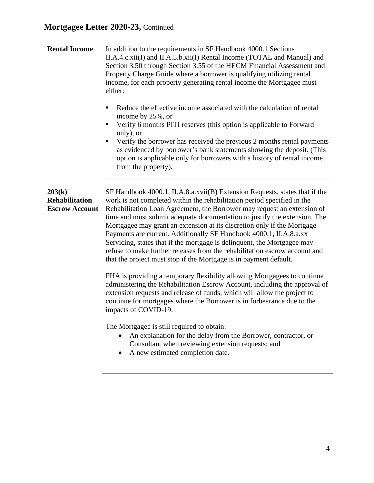| <b>Rental Income</b>                                     | In addition to the requirements in SF Handbook 4000.1 Sections<br>II.A.4.c.xii(I) and II.A.5.b.xii(I) Rental Income (TOTAL and Manual) and<br>Section 3.50 through Section 3.55 of the HECM Financial Assessment and<br>Property Charge Guide where a borrower is qualifying utilizing rental<br>income, for each property generating rental income the Mortgagee must<br>either:<br>Reduce the effective income associated with the calculation of rental<br>٠<br>income by 25%, or<br>Verify 6 months PITI reserves (this option is applicable to Forward<br>٠<br>only), or<br>Verify the borrower has received the previous 2 months rental payments<br>ш<br>as evidenced by borrower's bank statements showing the deposit. (This<br>option is applicable only for borrowers with a history of rental income                                                                                                                                                                                                                                                                                                                                                                                                                                                      |
|----------------------------------------------------------|-----------------------------------------------------------------------------------------------------------------------------------------------------------------------------------------------------------------------------------------------------------------------------------------------------------------------------------------------------------------------------------------------------------------------------------------------------------------------------------------------------------------------------------------------------------------------------------------------------------------------------------------------------------------------------------------------------------------------------------------------------------------------------------------------------------------------------------------------------------------------------------------------------------------------------------------------------------------------------------------------------------------------------------------------------------------------------------------------------------------------------------------------------------------------------------------------------------------------------------------------------------------------|
| 203(k)<br><b>Rehabilitation</b><br><b>Escrow Account</b> | from the property).<br>SF Handbook 4000.1, II.A.8.a.xvii(B) Extension Requests, states that if the<br>work is not completed within the rehabilitation period specified in the<br>Rehabilitation Loan Agreement, the Borrower may request an extension of<br>time and must submit adequate documentation to justify the extension. The<br>Mortgagee may grant an extension at its discretion only if the Mortgage<br>Payments are current. Additionally SF Handbook 4000.1, II.A.8.a.xx<br>Servicing, states that if the mortgage is delinquent, the Mortgagee may<br>refuse to make further releases from the rehabilitation escrow account and<br>that the project must stop if the Mortgage is in payment default.<br>FHA is providing a temporary flexibility allowing Mortgagees to continue<br>administering the Rehabilitation Escrow Account, including the approval of<br>extension requests and release of funds, which will allow the project to<br>continue for mortgages where the Borrower is in forbearance due to the<br>impacts of COVID-19.<br>The Mortgagee is still required to obtain:<br>An explanation for the delay from the Borrower, contractor, or<br>Consultant when reviewing extension requests; and<br>A new estimated completion date. |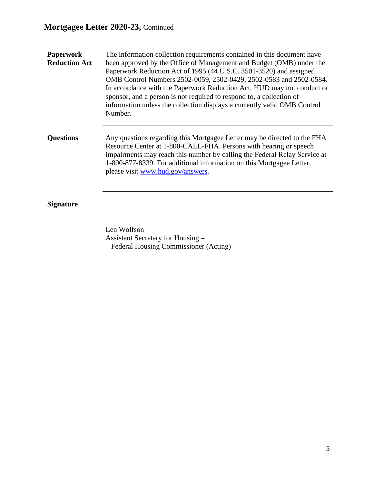| <b>Paperwork</b><br><b>Reduction Act</b> | The information collection requirements contained in this document have<br>been approved by the Office of Management and Budget (OMB) under the<br>Paperwork Reduction Act of 1995 (44 U.S.C. 3501-3520) and assigned<br>OMB Control Numbers 2502-0059, 2502-0429, 2502-0583 and 2502-0584.<br>In accordance with the Paperwork Reduction Act, HUD may not conduct or<br>sponsor, and a person is not required to respond to, a collection of<br>information unless the collection displays a currently valid OMB Control<br>Number. |  |  |  |  |
|------------------------------------------|--------------------------------------------------------------------------------------------------------------------------------------------------------------------------------------------------------------------------------------------------------------------------------------------------------------------------------------------------------------------------------------------------------------------------------------------------------------------------------------------------------------------------------------|--|--|--|--|
| <b>Questions</b>                         | Any questions regarding this Mortgagee Letter may be directed to the FHA<br>Resource Center at 1-800-CALL-FHA. Persons with hearing or speech<br>impairments may reach this number by calling the Federal Relay Service at<br>1-800-877-8339. For additional information on this Mortgagee Letter,<br>please visit www.hud.gov/answers.                                                                                                                                                                                              |  |  |  |  |

## **Signature**

Len Wolfson Assistant Secretary for Housing – Federal Housing Commissioner (Acting)